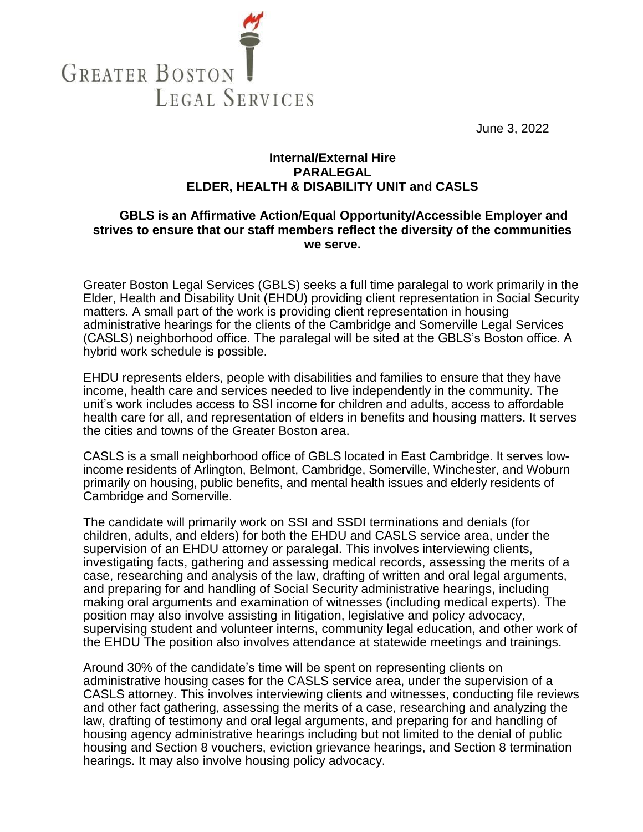

June 3, 2022

## **Internal/External Hire PARALEGAL ELDER, HEALTH & DISABILITY UNIT and CASLS**

## **GBLS is an Affirmative Action/Equal Opportunity/Accessible Employer and strives to ensure that our staff members reflect the diversity of the communities we serve.**

Greater Boston Legal Services (GBLS) seeks a full time paralegal to work primarily in the Elder, Health and Disability Unit (EHDU) providing client representation in Social Security matters. A small part of the work is providing client representation in housing administrative hearings for the clients of the Cambridge and Somerville Legal Services (CASLS) neighborhood office. The paralegal will be sited at the GBLS's Boston office. A hybrid work schedule is possible.

EHDU represents elders, people with disabilities and families to ensure that they have income, health care and services needed to live independently in the community. The unit's work includes access to SSI income for children and adults, access to affordable health care for all, and representation of elders in benefits and housing matters. It serves the cities and towns of the Greater Boston area.

CASLS is a small neighborhood office of GBLS located in East Cambridge. It serves lowincome residents of Arlington, Belmont, Cambridge, Somerville, Winchester, and Woburn primarily on housing, public benefits, and mental health issues and elderly residents of Cambridge and Somerville.

The candidate will primarily work on SSI and SSDI terminations and denials (for children, adults, and elders) for both the EHDU and CASLS service area, under the supervision of an EHDU attorney or paralegal. This involves interviewing clients, investigating facts, gathering and assessing medical records, assessing the merits of a case, researching and analysis of the law, drafting of written and oral legal arguments, and preparing for and handling of Social Security administrative hearings, including making oral arguments and examination of witnesses (including medical experts). The position may also involve assisting in litigation, legislative and policy advocacy, supervising student and volunteer interns, community legal education, and other work of the EHDU The position also involves attendance at statewide meetings and trainings.

Around 30% of the candidate's time will be spent on representing clients on administrative housing cases for the CASLS service area, under the supervision of a CASLS attorney. This involves interviewing clients and witnesses, conducting file reviews and other fact gathering, assessing the merits of a case, researching and analyzing the law, drafting of testimony and oral legal arguments, and preparing for and handling of housing agency administrative hearings including but not limited to the denial of public housing and Section 8 vouchers, eviction grievance hearings, and Section 8 termination hearings. It may also involve housing policy advocacy.